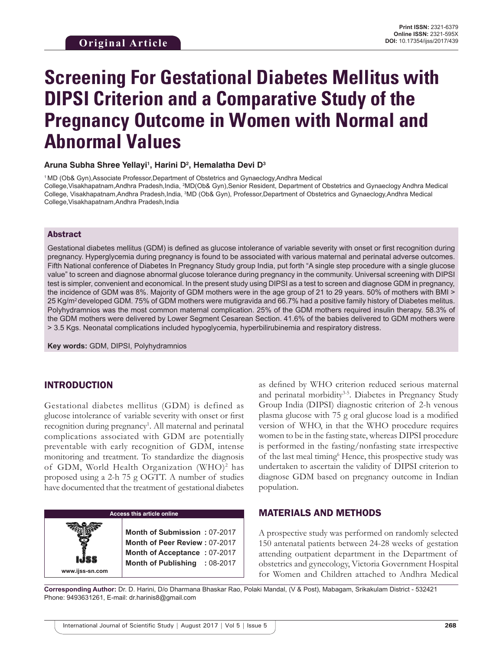# **Screening For Gestational Diabetes Mellitus with DIPSI Criterion and a Comparative Study of the Pregnancy Outcome in Women with Normal and Abnormal Values**

#### **Aruna Subha Shree Yellayi1 , Harini D2 , Hemalatha Devi D3**

1 MD (Ob& Gyn),Associate Professor,Department of Obstetrics and Gynaeclogy,Andhra Medical College,Visakhapatnam,Andhra Pradesh,India, <sup>2</sup>MD(Ob& Gyn),Senior Resident, Department of Obstetrics and Gynaeclogy Andhra Medical College, Visakhapatnam,Andhra Pradesh,India, <sup>3</sup>MD (Ob& Gyn), Professor,Department of Obstetrics and Gynaeclogy,Andhra Medical College,Visakhapatnam,Andhra Pradesh,India

#### Abstract

Gestational diabetes mellitus (GDM) is defined as glucose intolerance of variable severity with onset or first recognition during pregnancy. Hyperglycemia during pregnancy is found to be associated with various maternal and perinatal adverse outcomes. Fifth National conference of Diabetes In Pregnancy Study group India, put forth "A single step procedure with a single glucose value" to screen and diagnose abnormal glucose tolerance during pregnancy in the community. Universal screening with DIPSI test is simpler, convenient and economical. In the present study using DIPSI as a test to screen and diagnose GDM in pregnancy, the incidence of GDM was 8%. Majority of GDM mothers were in the age group of 21 to 29 years. 50% of mothers with BMI > 25 Kg/m<sup>2</sup>developed GDM. 75% of GDM mothers were mutigravida and 66.7% had a positive family history of Diabetes melitus. Polyhydramnios was the most common maternal complication. 25% of the GDM mothers required insulin therapy. 58.3% of the GDM mothers were delivered by Lower Segment Cesarean Section. 41.6% of the babies delivered to GDM mothers were > 3.5 Kgs. Neonatal complications included hypoglycemia, hyperbilirubinemia and respiratory distress.

**Key words:** GDM, DIPSI, Polyhydramnios

# INTRODUCTION

**www.ijss-sn.com**

Gestational diabetes mellitus (GDM) is defined as glucose intolerance of variable severity with onset or first recognition during pregnancy<sup>1</sup>. All maternal and perinatal complications associated with GDM are potentially preventable with early recognition of GDM, intense monitoring and treatment. To standardize the diagnosis of GDM, World Health Organization (WHO)<sup>2</sup> has proposed using a 2-h 75 g OGTT. A number of studies have documented that the treatment of gestational diabetes

> **Access this article online Month of Submission :** 07-2017 **Month of Peer Review :** 07-2017 **Month of Acceptance :** 07-2017 **Month of Publishing :** 08-2017

as defined by WHO criterion reduced serious maternal and perinatal morbidity<sup>3-5</sup>. Diabetes in Pregnancy Study Group India (DIPSI) diagnostic criterion of 2-h venous plasma glucose with 75 g oral glucose load is a modified version of WHO, in that the WHO procedure requires women to be in the fasting state, whereas DIPSI procedure is performed in the fasting/nonfasting state irrespective of the last meal timing<sup>6</sup> Hence, this prospective study was undertaken to ascertain the validity of DIPSI criterion to diagnose GDM based on pregnancy outcome in Indian population.

## MATERIALS AND METHODS

A prospective study was performed on randomly selected 150 antenatal patients between 24-28 weeks of gestation attending outpatient department in the Department of obstetrics and gynecology, Victoria Government Hospital for Women and Children attached to Andhra Medical

**Corresponding Author:** Dr. D. Harini, D/o Dharmana Bhaskar Rao, Polaki Mandal, (V & Post), Mabagam, Srikakulam District - 532421 Phone: 9493631261, E-mail: dr.harinis8@gmail.com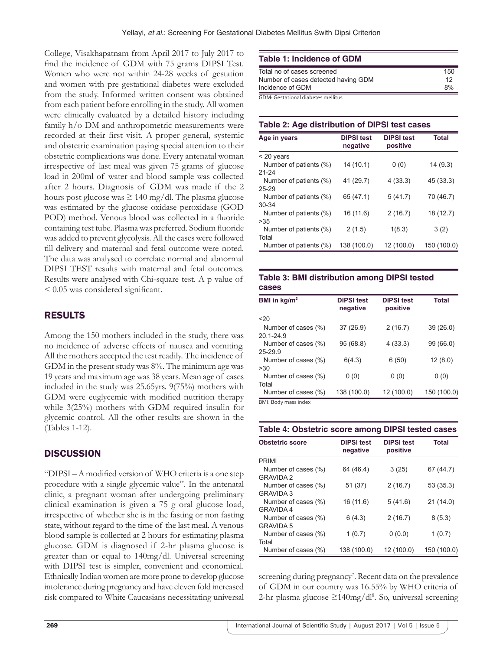College, Visakhapatnam from April 2017 to July 2017 to find the incidence of GDM with 75 grams DIPSI Test. Women who were not within 24-28 weeks of gestation and women with pre gestational diabetes were excluded from the study. Informed written consent was obtained from each patient before enrolling in the study. All women were clinically evaluated by a detailed history including family h/o DM and anthropometric measurements were recorded at their first visit. A proper general, systemic and obstetric examination paying special attention to their obstetric complications was done. Every antenatal woman irrespective of last meal was given 75 grams of glucose load in 200ml of water and blood sample was collected after 2 hours. Diagnosis of GDM was made if the 2 hours post glucose was  $\geq 140$  mg/dl. The plasma glucose was estimated by the glucose oxidase peroxidase (GOD POD) method. Venous blood was collected in a fluoride containing test tube. Plasma was preferred. Sodium fluoride was added to prevent glycolysis. All the cases were followed till delivery and maternal and fetal outcome were noted. The data was analysed to correlate normal and abnormal DIPSI TEST results with maternal and fetal outcomes. Results were analysed with Chi-square test. A p value of < 0.05 was considered significant.

# RESULTS

Among the 150 mothers included in the study, there was no incidence of adverse effects of nausea and vomiting. All the mothers accepted the test readily. The incidence of GDM in the present study was 8%. The minimum age was 19 years and maximum age was 38 years. Mean age of cases included in the study was 25.65yrs. 9(75%) mothers with GDM were euglycemic with modified nutrition therapy while 3(25%) mothers with GDM required insulin for glycemic control. All the other results are shown in the (Tables 1-12).

# **DISCUSSION**

"DIPSI – A modified version of WHO criteria is a one step procedure with a single glycemic value". In the antenatal clinic, a pregnant woman after undergoing preliminary clinical examination is given a 75 g oral glucose load, irrespective of whether she is in the fasting or non fasting state, without regard to the time of the last meal. A venous blood sample is collected at 2 hours for estimating plasma glucose. GDM is diagnosed if 2-hr plasma glucose is greater than or equal to 140mg/dl. Universal screening with DIPSI test is simpler, convenient and economical. Ethnically Indian women are more prone to develop glucose intolerance during pregnancy and have eleven fold increased risk compared to White Caucasians necessitating universal

### **Table 1: Incidence of GDM**

| Total no of cases screened          | 150 |
|-------------------------------------|-----|
| Number of cases detected having GDM | 12  |
| Incidence of GDM                    | 8%  |
| GDM: Gestational diabetes mellitus  |     |

GDM: Gestational diabetes mellitus

# **Table 2: Age distribution of DIPSI test cases**

| Age in years           | <b>DIPSI test</b><br>negative | <b>DIPSI test</b><br>positive | <b>Total</b> |
|------------------------|-------------------------------|-------------------------------|--------------|
| $<$ 20 years           |                               |                               |              |
| Number of patients (%) | 14 (10.1)                     | 0(0)                          | 14(9.3)      |
| $21 - 24$              |                               |                               |              |
| Number of patients (%) | 41 (29.7)                     | 4(33.3)                       | 45 (33.3)    |
| $25 - 29$              |                               |                               |              |
| Number of patients (%) | 65 (47.1)                     | 5(41.7)                       | 70 (46.7)    |
| $30 - 34$              |                               |                               |              |
| Number of patients (%) | 16 (11.6)                     | 2(16.7)                       | 18 (12.7)    |
| >35                    |                               |                               |              |
| Number of patients (%) | 2(1.5)                        | 1(8.3)                        | 3(2)         |
| Total                  |                               |                               |              |
| Number of patients (%) | 138 (100.0)                   | 12 (100.0)                    | 150 (100.0)  |

|       |  | Table 3: BMI distribution among DIPSI tested |
|-------|--|----------------------------------------------|
| cases |  |                                              |

| BMI in $kg/m2$       | <b>DIPSI test</b><br>negative | <b>DIPSI test</b><br>positive | Total       |
|----------------------|-------------------------------|-------------------------------|-------------|
| 20                   |                               |                               |             |
| Number of cases (%)  | 37(26.9)                      | 2(16.7)                       | 39(26.0)    |
| $201 - 249$          |                               |                               |             |
| Number of cases (%)  | 95 (68.8)                     | 4(33.3)                       | 99 (66.0)   |
| 25-29.9              |                               |                               |             |
| Number of cases (%)  | 6(4.3)                        | 6(50)                         | 12(8.0)     |
| >30                  |                               |                               |             |
| Number of cases (%)  | 0(0)                          | 0(0)                          | 0(0)        |
| Total                |                               |                               |             |
| Number of cases (%)  | 138 (100.0)                   | 12 (100.0)                    | 150 (100.0) |
| BMI: Body mass index |                               |                               |             |

**Table 4: Obstetric score among DIPSI tested cases**

| <b>Obstetric score</b> | <b>DIPSI test</b><br>negative | <b>DIPSI test</b><br>positive | <b>Total</b> |
|------------------------|-------------------------------|-------------------------------|--------------|
| <b>PRIMI</b>           |                               |                               |              |
| Number of cases (%)    | 64 (46.4)                     | 3(25)                         | 67 (44.7)    |
| <b>GRAVIDA 2</b>       |                               |                               |              |
| Number of cases (%)    | 51 (37)                       | 2(16.7)                       | 53 (35.3)    |
| <b>GRAVIDA 3</b>       |                               |                               |              |
| Number of cases (%)    | 16 (11.6)                     | 5(41.6)                       | 21(14.0)     |
| <b>GRAVIDA 4</b>       |                               |                               |              |
| Number of cases (%)    | 6(4.3)                        | 2(16.7)                       | 8(5.3)       |
| <b>GRAVIDA 5</b>       |                               |                               |              |
| Number of cases (%)    | 1(0.7)                        | 0(0.0)                        | 1(0.7)       |
| Total                  |                               |                               |              |
| Number of cases (%)    | 138 (100.0)                   | 12 (100.0)                    | 150 (100.0)  |

screening during pregnancy<sup>7</sup>. Recent data on the prevalence of GDM in our country was 16.55% by WHO criteria of 2-hr plasma glucose ≥140mg/dl<sup>8</sup>. So, universal screening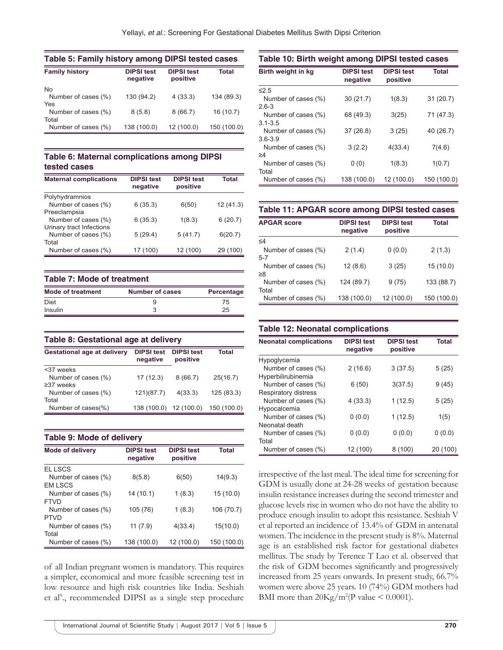| Table 5: Family history among DIPSI tested cases |                               |                               |              |  |
|--------------------------------------------------|-------------------------------|-------------------------------|--------------|--|
| <b>Family history</b>                            | <b>DIPSI test</b><br>negative | <b>DIPSI test</b><br>positive | <b>Total</b> |  |
| <b>No</b>                                        |                               |                               |              |  |
| Number of cases (%)                              | 130 (94.2)                    | 4(33.3)                       | 134 (89.3)   |  |
| Yes                                              |                               |                               |              |  |
| Number of cases (%)                              | 8(5.8)                        | 8(66.7)                       | 16(10.7)     |  |
| Total                                            |                               |                               |              |  |
| Number of cases (%)                              | 138 (100.0)                   | 12 (100.0)                    | 150 (100.0)  |  |

#### **Table 6: Maternal complications among DIPSI tested cases**

| <b>Maternal complications</b> | <b>DIPSI test</b><br>negative | <b>DIPSI test</b><br>positive | Total    |
|-------------------------------|-------------------------------|-------------------------------|----------|
| Polyhydramnios                |                               |                               |          |
| Number of cases (%)           | 6(35.3)                       | 6(50)                         | 12(41.3) |
| Preeclampsia                  |                               |                               |          |
| Number of cases (%)           | 6(35.3)                       | 1(8.3)                        | 6(20.7)  |
| Urinary tract Infections      |                               |                               |          |
| Number of cases (%)           | 5(29.4)                       | 5(41.7)                       | 6(20.7)  |
| Total                         |                               |                               |          |
| Number of cases (%)           | 17 (100)                      | 12 (100)                      | 29 (100) |

| <b>Table 7: Mode of treatment</b> |                 |            |  |
|-----------------------------------|-----------------|------------|--|
| <b>Mode of treatment</b>          | Number of cases | Percentage |  |
| Diet                              |                 | 75         |  |
| Insulin                           |                 | 25         |  |

#### **Table 8: Gestational age at delivery**

| <b>Gestational age at delivery</b> | <b>DIPSI test</b><br>negative | <b>DIPSI test</b><br>positive | <b>Total</b> |
|------------------------------------|-------------------------------|-------------------------------|--------------|
| <37 weeks                          |                               |                               |              |
| Number of cases (%)                | 17(12.3)                      | 8(66.7)                       | 25(16.7)     |
| $\geq$ 37 weeks                    |                               |                               |              |
| Number of cases (%)                | 121(87.7)                     | 4(33.3)                       | 125(83.3)    |
| Total                              |                               |                               |              |
| Number of cases(%)                 | 138 (100.0) 12 (100.0)        |                               | 150 (100.0)  |

#### **Table 9: Mode of delivery**

| <b>Mode of delivery</b> | <b>DIPSI test</b><br>negative | <b>DIPSI test</b><br>positive | <b>Total</b> |
|-------------------------|-------------------------------|-------------------------------|--------------|
| EL LSCS                 |                               |                               |              |
| Number of cases (%)     | 8(5.8)                        | 6(50)                         | 14(9.3)      |
| <b>EM LSCS</b>          |                               |                               |              |
| Number of cases (%)     | 14 (10.1)                     | 1(8.3)                        | 15(10.0)     |
| <b>FTVD</b>             |                               |                               |              |
| Number of cases (%)     | 105 (76)                      | 1(8.3)                        | 106 (70.7)   |
| <b>PTVD</b>             |                               |                               |              |
| Number of cases (%)     | 11(7.9)                       | 4(33.4)                       | 15(10.0)     |
| Total                   |                               |                               |              |
| Number of cases (%)     | 138 (100.0)                   | 12 (100.0)                    | 150 (100.0)  |

of all Indian pregnant women is mandatory. This requires a simpler, economical and more feasible screening test in low resource and high risk countries like India. Seshiah et al<sup>9</sup>., recommended DIPSI as a single step procedure

# **Table 10: Birth weight among DIPSI tested cases**

| Birth weight in kg  | <b>DIPSI test</b><br>negative | <b>DIPSI test</b><br>positive | <b>Total</b> |
|---------------------|-------------------------------|-------------------------------|--------------|
| $\leq 2.5$          |                               |                               |              |
| Number of cases (%) | 30(21.7)                      | 1(8.3)                        | 31(20.7)     |
| $2.6 - 3$           |                               |                               |              |
| Number of cases (%) | 68 (49.3)                     | 3(25)                         | 71 (47.3)    |
| $3.1 - 3.5$         |                               |                               |              |
| Number of cases (%) | 37(26.8)                      | 3(25)                         | 40 (26.7)    |
| $3.6 - 3.9$         |                               |                               |              |
| Number of cases (%) | 3(2.2)                        | 4(33.4)                       | 7(4.6)       |
| ≥4                  |                               |                               |              |
| Number of cases (%) | 0(0)                          | 1(8.3)                        | 1(0.7)       |
| Total               |                               |                               |              |
| Number of cases (%) | 138 (100.0)                   | 12 (100.0)                    | 150 (100.0)  |

#### **Table 11: APGAR score among DIPSI tested cases**

| <b>APGAR score</b>  | <b>DIPSI test</b><br>negative | <b>DIPSI test</b><br>positive | <b>Total</b> |
|---------------------|-------------------------------|-------------------------------|--------------|
| $\leq 4$            |                               |                               |              |
| Number of cases (%) | 2(1.4)                        | 0(0.0)                        | 2(1.3)       |
| $5-7$               |                               |                               |              |
| Number of cases (%) | 12(8.6)                       | 3(25)                         | 15(10.0)     |
| ≥8                  |                               |                               |              |
| Number of cases (%) | 124 (89.7)                    | 9(75)                         | 133 (88.7)   |
| Total               |                               |                               |              |
| Number of cases (%) | 138 (100.0)                   | 12 (100.0)                    | 150 (100.0)  |

#### **Table 12: Neonatal complications**

| <b>Neonatal complications</b> | <b>DIPSI test</b><br>negative | <b>DIPSI test</b><br>positive | <b>Total</b> |
|-------------------------------|-------------------------------|-------------------------------|--------------|
| Hypoglycemia                  |                               |                               |              |
| Number of cases (%)           | 2(16.6)                       | 3(37.5)                       | 5(25)        |
| Hyperbilirubinemia            |                               |                               |              |
| Number of cases (%)           | 6(50)                         | 3(37.5)                       | 9(45)        |
| Respiratory distress          |                               |                               |              |
| Number of cases (%)           | 4 (33.3)                      | 1(12.5)                       | 5(25)        |
| Hypocalcemia                  |                               |                               |              |
| Number of cases (%)           | 0(0.0)                        | 1(12.5)                       | 1(5)         |
| Neonatal death                |                               |                               |              |
| Number of cases (%)           | 0(0.0)                        | 0(0.0)                        | 0(0.0)       |
| Total                         |                               |                               |              |
| Number of cases (%)           | 12 (100)                      | 8 (100)                       | 20 (100)     |

irrespective of the last meal. The ideal time for screening for GDM is usually done at 24-28 weeks of gestation because insulin resistance increases during the second trimester and glucose levels rise in women who do not have the ability to produce enough insulin to adopt this resistance. Seshiah V et al reported an incidence of 13.4% of GDM in antenatal women. The incidence in the present study is 8%. Maternal age is an established risk factor for gestational diabetes mellitus. The study by Terence T Lao et al. observed that the risk of GDM becomes significantly and progressively increased from 25 years onwards. In present study, 66.7% women were above 25 years. 10 (74%) GDM mothers had BMI more than  $20\text{Kg/m}^2$ (P value < 0.0001).